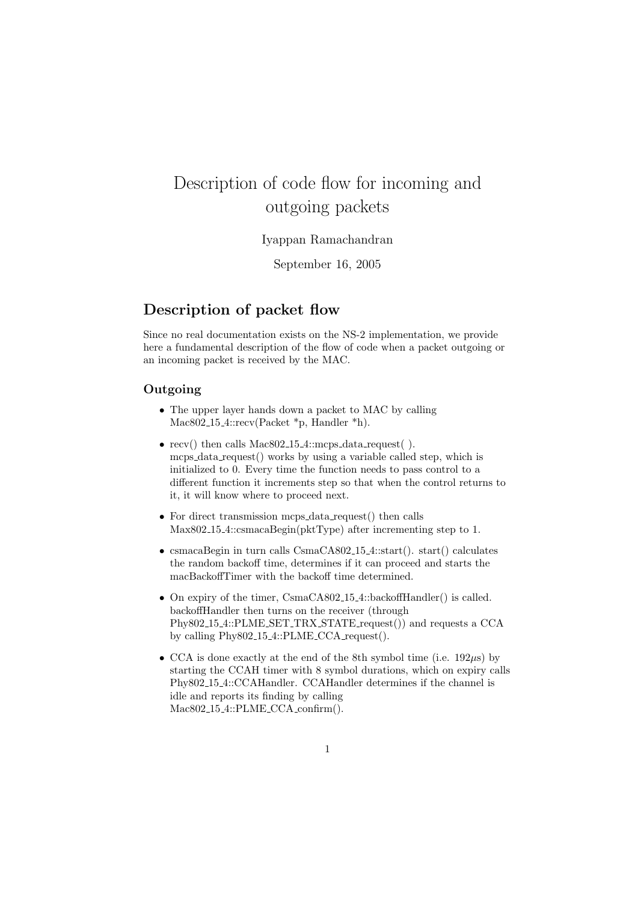## Description of code flow for incoming and outgoing packets

Iyappan Ramachandran

September 16, 2005

## Description of packet flow

Since no real documentation exists on the NS-2 implementation, we provide here a fundamental description of the flow of code when a packet outgoing or an incoming packet is received by the MAC.

## Outgoing

- The upper layer hands down a packet to MAC by calling Mac802<sub>-15-4</sub>::recv(Packet \*p, Handler \*h).
- recv() then calls Mac802<sub>-15-4</sub>::mcps\_data\_request(). mcps data request() works by using a variable called step, which is initialized to 0. Every time the function needs to pass control to a different function it increments step so that when the control returns to it, it will know where to proceed next.
- For direct transmission mcps\_data\_request() then calls Max802 15 4::csmacaBegin(pktType) after incrementing step to 1.
- csmacaBegin in turn calls CsmaCA802<sub>-15-4</sub>::start(). start() calculates the random backoff time, determines if it can proceed and starts the macBackoffTimer with the backoff time determined.
- On expiry of the timer, CsmaCA802<sub>-15-4</sub>::backoffHandler() is called. backoffHandler then turns on the receiver (through Phy802.15.4::PLME\_SET\_TRX\_STATE\_request()) and requests a CCA by calling Phy802 15 4::PLME CCA request().
- CCA is done exactly at the end of the 8th symbol time (i.e.  $192\mu s$ ) by starting the CCAH timer with 8 symbol durations, which on expiry calls Phy802 15 4::CCAHandler. CCAHandler determines if the channel is idle and reports its finding by calling Mac802 15 4::PLME CCA confirm().